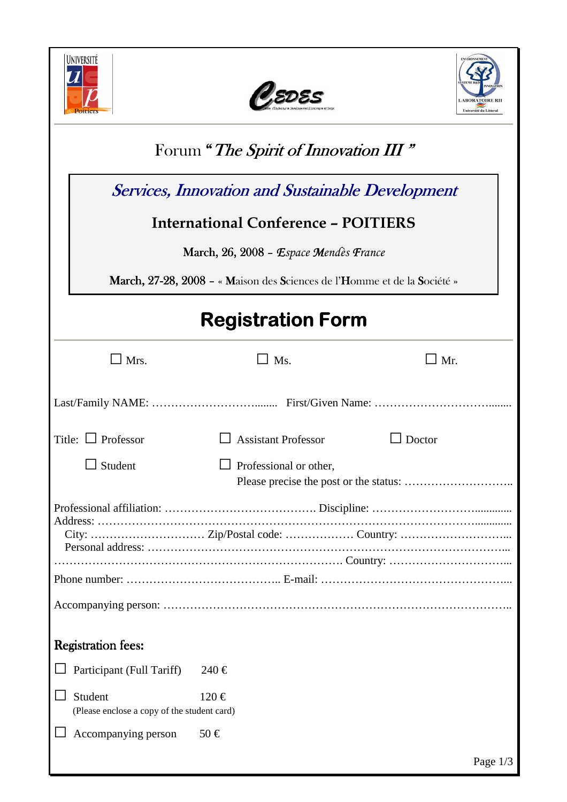





| Forum "The Spirit of Innovation III"                                     |                            |            |  |
|--------------------------------------------------------------------------|----------------------------|------------|--|
| <b>Services, Innovation and Sustainable Development</b>                  |                            |            |  |
| <b>International Conference - POITIERS</b>                               |                            |            |  |
|                                                                          |                            |            |  |
| March, 26, 2008 – Espace Mendès France                                   |                            |            |  |
| March, 27-28, 2008 - « Maison des Sciences de l'Homme et de la Société » |                            |            |  |
| <b>Registration Form</b>                                                 |                            |            |  |
| $\Box$ Mrs.                                                              | Ms.                        | $\Box$ Mr. |  |
|                                                                          |                            |            |  |
| Title: $\Box$ Professor                                                  | <b>Assistant Professor</b> | Doctor     |  |
| $\Box$ Student                                                           | Professional or other,     |            |  |
|                                                                          |                            |            |  |
|                                                                          |                            |            |  |
| <b>Registration fees:</b>                                                |                            |            |  |
| Participant (Full Tariff)                                                | 240 €                      |            |  |
| Student<br>(Please enclose a copy of the student card)                   | $120 \in$                  |            |  |
| Accompanying person                                                      | $50 \in$                   |            |  |
|                                                                          |                            | Page $1/3$ |  |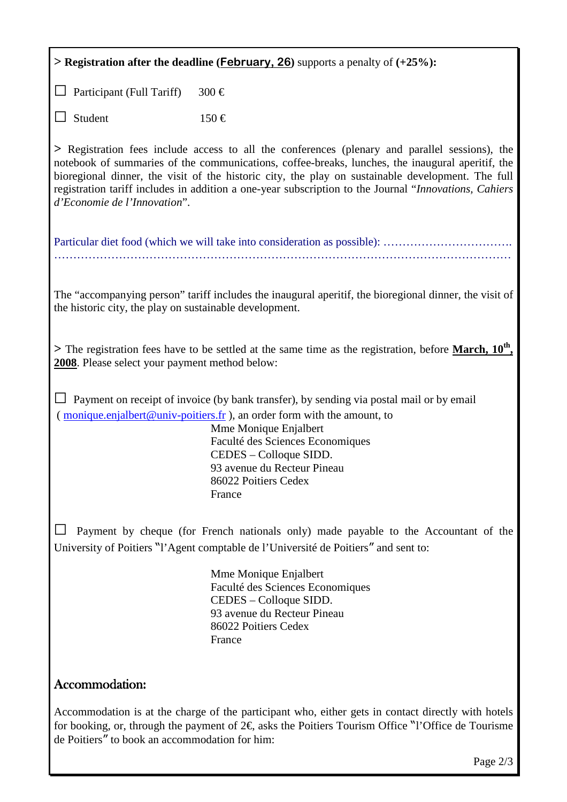| > Registration after the deadline ( <i>February</i> , 26) supports a penalty of $(+25%)$ :                                                                                                                                                                                                                                                                                                                                                       |                                                                                                                                                                                                                                                                                                                             |  |
|--------------------------------------------------------------------------------------------------------------------------------------------------------------------------------------------------------------------------------------------------------------------------------------------------------------------------------------------------------------------------------------------------------------------------------------------------|-----------------------------------------------------------------------------------------------------------------------------------------------------------------------------------------------------------------------------------------------------------------------------------------------------------------------------|--|
| Participant (Full Tariff)                                                                                                                                                                                                                                                                                                                                                                                                                        | $300 \in$                                                                                                                                                                                                                                                                                                                   |  |
| Student                                                                                                                                                                                                                                                                                                                                                                                                                                          | $150 \in$                                                                                                                                                                                                                                                                                                                   |  |
| > Registration fees include access to all the conferences (plenary and parallel sessions), the<br>notebook of summaries of the communications, coffee-breaks, lunches, the inaugural aperitif, the<br>bioregional dinner, the visit of the historic city, the play on sustainable development. The full<br>registration tariff includes in addition a one-year subscription to the Journal "Innovations, Cahiers<br>d'Economie de l'Innovation". |                                                                                                                                                                                                                                                                                                                             |  |
|                                                                                                                                                                                                                                                                                                                                                                                                                                                  |                                                                                                                                                                                                                                                                                                                             |  |
| The "accompanying person" tariff includes the inaugural aperitif, the bioregional dinner, the visit of<br>the historic city, the play on sustainable development.                                                                                                                                                                                                                                                                                |                                                                                                                                                                                                                                                                                                                             |  |
| > The registration fees have to be settled at the same time as the registration, before March, 10 <sup>th</sup> ,<br>2008. Please select your payment method below:                                                                                                                                                                                                                                                                              |                                                                                                                                                                                                                                                                                                                             |  |
|                                                                                                                                                                                                                                                                                                                                                                                                                                                  | Payment on receipt of invoice (by bank transfer), by sending via postal mail or by email<br>(monique.enjalbert@univ-poitiers.fr), an order form with the amount, to<br>Mme Monique Enjalbert<br>Faculté des Sciences Economiques<br>CEDES – Colloque SIDD.<br>93 avenue du Recteur Pineau<br>86022 Poitiers Cedex<br>France |  |
| Payment by cheque (for French nationals only) made payable to the Accountant of the<br>University of Poitiers "l'Agent comptable de l'Université de Poitiers" and sent to:                                                                                                                                                                                                                                                                       |                                                                                                                                                                                                                                                                                                                             |  |
|                                                                                                                                                                                                                                                                                                                                                                                                                                                  | Mme Monique Enjalbert<br>Faculté des Sciences Economiques<br>CEDES – Colloque SIDD.<br>93 avenue du Recteur Pineau<br>86022 Poitiers Cedex<br>France                                                                                                                                                                        |  |
| Accommodation:                                                                                                                                                                                                                                                                                                                                                                                                                                   |                                                                                                                                                                                                                                                                                                                             |  |
| Accommodation is at the charge of the participant who, either gets in contact directly with hotels<br>for booking, or, through the payment of $2\epsilon$ , asks the Poitiers Tourism Office "l'Office de Tourisme"                                                                                                                                                                                                                              |                                                                                                                                                                                                                                                                                                                             |  |

de Poitiers" to book an accommodation for him:

Page 2/3